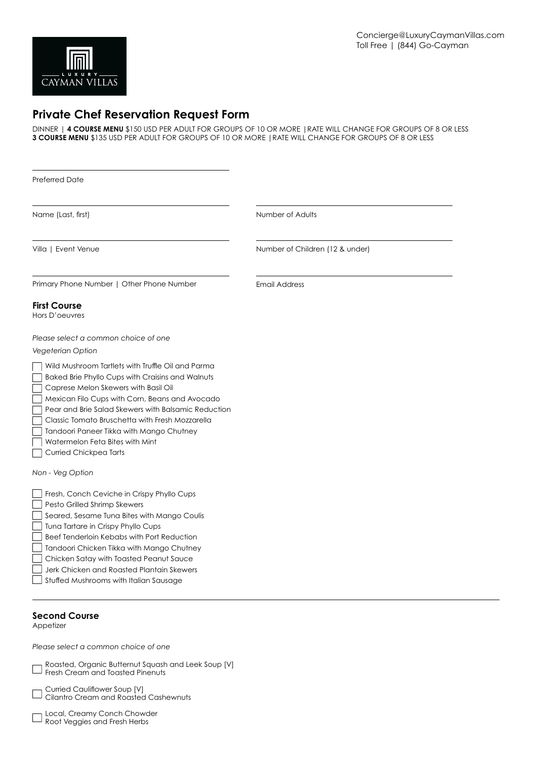

# **Private Chef Reservation Request Form**

DINNER | **4 COURSE MENU** \$150 USD PER ADULT FOR GROUPS OF 10 OR MORE |RATE WILL CHANGE FOR GROUPS OF 8 OR LESS **3 COURSE MENU** \$135 USD PER ADULT FOR GROUPS OF 10 OR MORE |RATE WILL CHANGE FOR GROUPS OF 8 OR LESS

| <b>Preferred Date</b>                                                                                                                                                                                                                                                                                                                                                                                              |                                 |  |  |
|--------------------------------------------------------------------------------------------------------------------------------------------------------------------------------------------------------------------------------------------------------------------------------------------------------------------------------------------------------------------------------------------------------------------|---------------------------------|--|--|
| Name (Last, first)                                                                                                                                                                                                                                                                                                                                                                                                 | Number of Adults                |  |  |
| Villa   Event Venue                                                                                                                                                                                                                                                                                                                                                                                                | Number of Children (12 & under) |  |  |
| Primary Phone Number   Other Phone Number                                                                                                                                                                                                                                                                                                                                                                          | <b>Email Address</b>            |  |  |
| <b>First Course</b><br>Hors D'oeuvres                                                                                                                                                                                                                                                                                                                                                                              |                                 |  |  |
| Please select a common choice of one<br>Vegeterian Option                                                                                                                                                                                                                                                                                                                                                          |                                 |  |  |
| Wild Mushroom Tartlets with Truffle Oil and Parma<br>Baked Brie Phyllo Cups with Craisins and Walnuts<br>Caprese Melon Skewers with Basil Oil<br>Mexican Filo Cups with Corn, Beans and Avocado<br>Pear and Brie Salad Skewers with Balsamic Reduction<br>Classic Tomato Bruschetta with Fresh Mozzarella<br>Tandoori Paneer Tikka with Mango Chutney<br>Watermelon Feta Bites with Mint<br>Curried Chickpea Tarts |                                 |  |  |
| Non - Veg Option                                                                                                                                                                                                                                                                                                                                                                                                   |                                 |  |  |
| Fresh, Conch Ceviche in Crispy Phyllo Cups<br>Pesto Grilled Shrimp Skewers<br>Seared, Sesame Tuna Bites with Mango Coulis<br>Tuna Tartare in Crispy Phyllo Cups<br>Beef Tenderloin Kebabs with Port Reduction<br>Tandoori Chicken Tikka with Mango Chutney<br>Chicken Satay with Toasted Peanut Sauce<br>Jerk Chicken and Roasted Plantain Skewers<br>Stuffed Mushrooms with Italian Sausage                       |                                 |  |  |
| <b>Second Course</b><br>Appetizer                                                                                                                                                                                                                                                                                                                                                                                  |                                 |  |  |
| Please select a common choice of one                                                                                                                                                                                                                                                                                                                                                                               |                                 |  |  |

Roasted, Organic Butternut Squash and Leek Soup [V]

**Fresh Cream and Toasted Pinenuts**<br>**Fresh Cream and Toasted Pinenuts** 

Curried Cauliflower Soup [V] Cilantro Cream and Roasted Cashewnuts

Local, Creamy Conch Chowder **CORPORT CONCERNATION**<br>Root Veggies and Fresh Herbs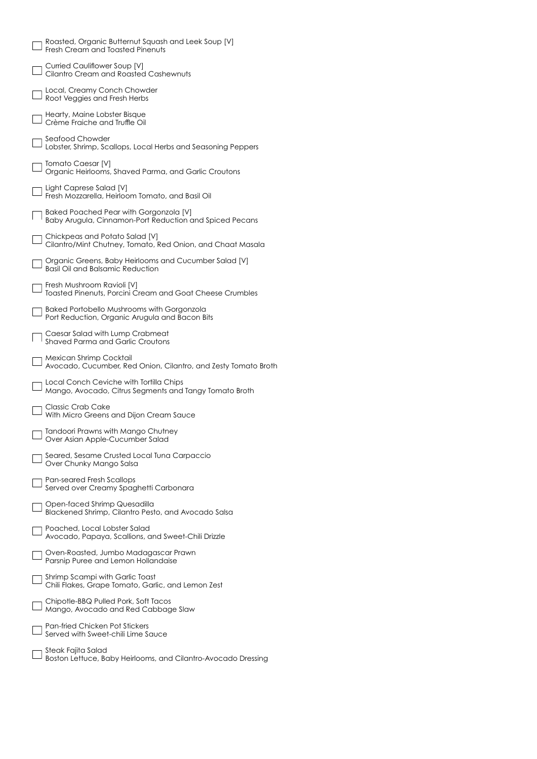| Roasted, Organic Butternut Squash and Leek Soup [V]<br>Fresh Cream and Toasted Pinenuts           |
|---------------------------------------------------------------------------------------------------|
| Curried Cauliflower Soup [V]<br>Cilantro Cream and Roasted Cashewnuts                             |
| Local, Creamy Conch Chowder<br>Root Veggies and Fresh Herbs                                       |
| Hearty, Maine Lobster Bisque<br>Crème Fraiche and Truffle Oil                                     |
| Seafood Chowder<br>Lobster, Shrimp, Scallops, Local Herbs and Seasoning Peppers                   |
| <b>Tomato Caesar [V]</b><br>Organic Heirlooms, Shaved Parma, and Garlic Croutons                  |
| Light Caprese Salad [V]<br>Fresh Mozzarella, Heirloom Tomato, and Basil Oil                       |
| Baked Poached Pear with Gorgonzola [V]<br>Baby Arugula, Cinnamon-Port Reduction and Spiced Pecans |
| Chickpeas and Potato Salad [V]<br>Cilantro/Mint Chutney, Tomato, Red Onion, and Chaat Masala      |
| Organic Greens, Baby Heirlooms and Cucumber Salad [V]<br><b>Basil Oil and Balsamic Reduction</b>  |
| Fresh Mushroom Ravioli [V]<br>Toasted Pinenuts, Porcini Cream and Goat Cheese Crumbles            |
| Baked Portobello Mushrooms with Gorgonzola<br>Port Reduction, Organic Arugula and Bacon Bits      |
| Caesar Salad with Lump Crabmeat<br>Shaved Parma and Garlic Croutons                               |
|                                                                                                   |
| Mexican Shrimp Cocktail<br>Avocado, Cucumber, Red Onion, Cilantro, and Zesty Tomato Broth         |
| Local Conch Ceviche with Tortilla Chips<br>Mango, Avocado, Citrus Segments and Tangy Tomato Broth |
| Classic Crab Cake<br>With Micro Greens and Dijon Cream Sauce                                      |
| Tandoori Prawns with Mango Chutney<br>Over Asian Apple-Cucumber Salad                             |
| Seared, Sesame Crusted Local Tuna Carpaccio<br>Over Chunky Mango Salsa                            |
| Pan-seared Fresh Scallops<br>Served over Creamy Spaghetti Carbonara                               |
| Open-faced Shrimp Quesadilla<br>Blackened Shrimp, Cilantro Pesto, and Avocado Salsa               |
| Poached, Local Lobster Salad<br>Avocado, Papaya, Scallions, and Sweet-Chili Drizzle               |
| Oven-Roasted, Jumbo Madagascar Prawn<br>Parsnip Puree and Lemon Hollandaise                       |
| Shrimp Scampi with Garlic Toast<br>Chili Flakes, Grape Tomato, Garlic, and Lemon Zest             |
| Chipotle-BBQ Pulled Pork, Soft Tacos<br>Mango, Avocado and Red Cabbage Slaw                       |
| Pan-fried Chicken Pot Stickers<br>Served with Sweet-chili Lime Sauce                              |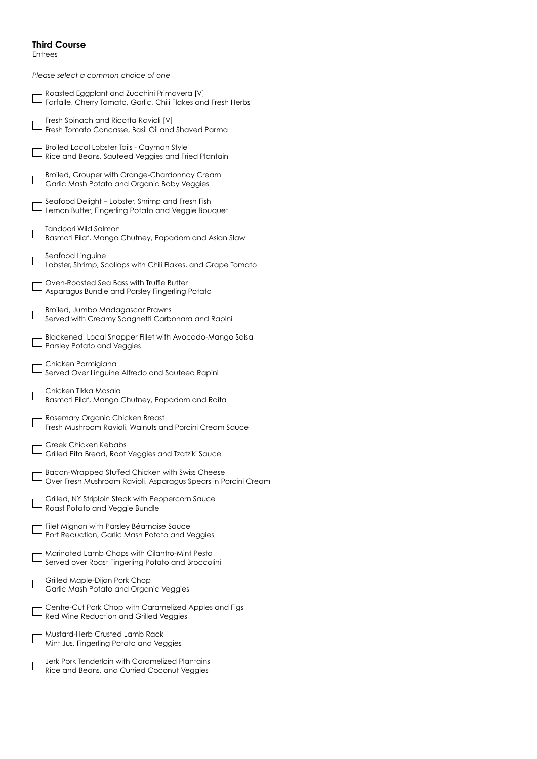#### **Third Course**

Entrees

*Please select a common choice of one*

| Roasted Eggplant and Zucchini Primavera [V]<br>Farfalle, Cherry Tomato, Garlic, Chili Flakes and Fresh Herbs      |
|-------------------------------------------------------------------------------------------------------------------|
| Fresh Spinach and Ricotta Ravioli [V]<br>Fresh Tomato Concasse, Basil Oil and Shaved Parma                        |
| Broiled Local Lobster Tails - Cayman Style<br>Rice and Beans, Sauteed Veggies and Fried Plantain                  |
| Broiled, Grouper with Orange-Chardonnay Cream<br>Garlic Mash Potato and Organic Baby Veggies                      |
| Seafood Delight - Lobster, Shrimp and Fresh Fish<br>Lemon Butter, Fingerling Potato and Veggie Bouquet            |
| Tandoori Wild Salmon<br>Basmati Pilaf, Mango Chutney, Papadom and Asian Slaw                                      |
| Seafood Linguine<br>Lobster, Shrimp, Scallops with Chili Flakes, and Grape Tomato                                 |
| Oven-Roasted Sea Bass with Truffle Butter<br>Asparagus Bundle and Parsley Fingerling Potato                       |
| Broiled, Jumbo Madagascar Prawns<br>Served with Creamy Spaghetti Carbonara and Rapini                             |
| Blackened, Local Snapper Fillet with Avocado-Mango Salsa<br><b>Parsley Potato and Veggies</b>                     |
| Chicken Parmigiana<br>Served Over Linguine Alfredo and Sauteed Rapini                                             |
| Chicken Tikka Masala<br>Basmati Pilaf, Mango Chutney, Papadom and Raita                                           |
| Rosemary Organic Chicken Breast<br>Fresh Mushroom Ravioli, Walnuts and Porcini Cream Sauce                        |
| Greek Chicken Kebabs<br>Grilled Pita Bread, Root Veggies and Tzatziki Sauce                                       |
| Bacon-Wrapped Stuffed Chicken with Swiss Cheese<br>Over Fresh Mushroom Ravioli, Asparagus Spears in Porcini Cream |
| Grilled, NY Striploin Steak with Peppercorn Sauce<br>Roast Potato and Veggie Bundle                               |
| Filet Mignon with Parsley Béarnaise Sauce<br>Port Reduction, Garlic Mash Potato and Veggies                       |
| Marinated Lamb Chops with Cilantro-Mint Pesto<br>Served over Roast Fingerling Potato and Broccolini               |
| Grilled Maple-Dijon Pork Chop<br>Garlic Mash Potato and Organic Veggies                                           |
| Centre-Cut Pork Chop with Caramelized Apples and Figs<br>Red Wine Reduction and Grilled Veggies                   |
| Mustard-Herb Crusted Lamb Rack<br>Mint Jus, Fingerling Potato and Veggies                                         |
| Jerk Pork Tenderloin with Caramelized Plantains<br>Rice and Beans, and Curried Coconut Veggies                    |
|                                                                                                                   |